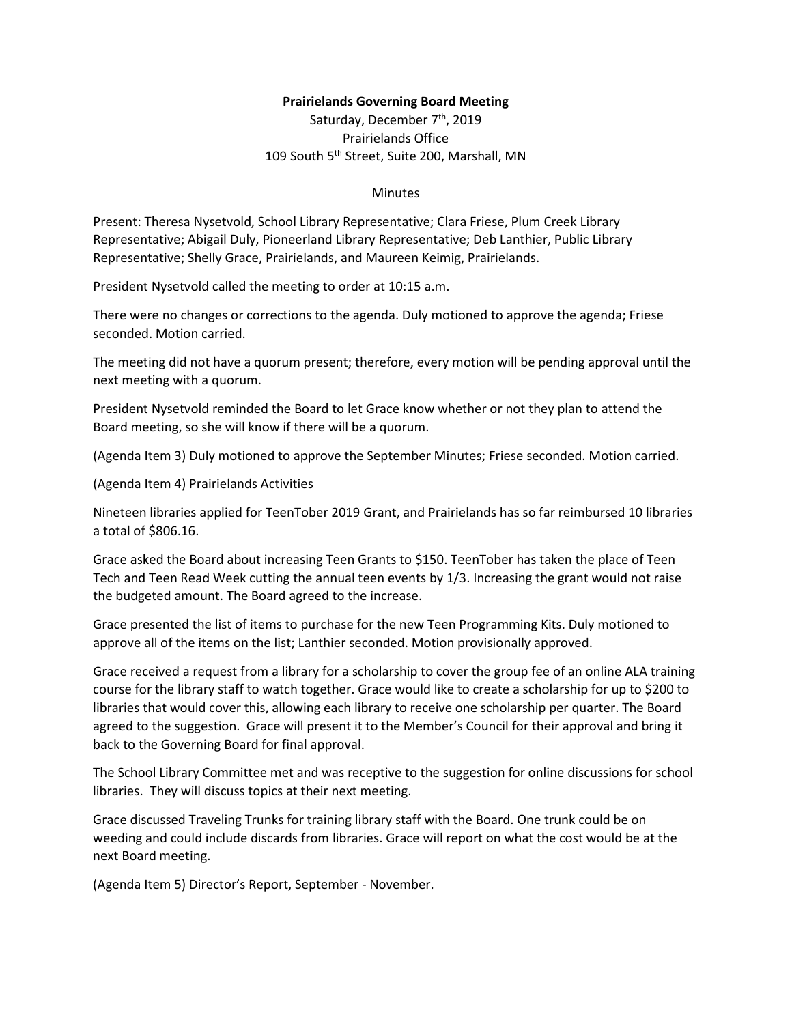## **Prairielands Governing Board Meeting**

Saturday, December 7<sup>th</sup>, 2019 Prairielands Office 109 South 5<sup>th</sup> Street, Suite 200, Marshall, MN

## Minutes

Present: Theresa Nysetvold, School Library Representative; Clara Friese, Plum Creek Library Representative; Abigail Duly, Pioneerland Library Representative; Deb Lanthier, Public Library Representative; Shelly Grace, Prairielands, and Maureen Keimig, Prairielands.

President Nysetvold called the meeting to order at 10:15 a.m.

There were no changes or corrections to the agenda. Duly motioned to approve the agenda; Friese seconded. Motion carried.

The meeting did not have a quorum present; therefore, every motion will be pending approval until the next meeting with a quorum.

President Nysetvold reminded the Board to let Grace know whether or not they plan to attend the Board meeting, so she will know if there will be a quorum.

(Agenda Item 3) Duly motioned to approve the September Minutes; Friese seconded. Motion carried.

(Agenda Item 4) Prairielands Activities

Nineteen libraries applied for TeenTober 2019 Grant, and Prairielands has so far reimbursed 10 libraries a total of \$806.16.

Grace asked the Board about increasing Teen Grants to \$150. TeenTober has taken the place of Teen Tech and Teen Read Week cutting the annual teen events by 1/3. Increasing the grant would not raise the budgeted amount. The Board agreed to the increase.

Grace presented the list of items to purchase for the new Teen Programming Kits. Duly motioned to approve all of the items on the list; Lanthier seconded. Motion provisionally approved.

Grace received a request from a library for a scholarship to cover the group fee of an online ALA training course for the library staff to watch together. Grace would like to create a scholarship for up to \$200 to libraries that would cover this, allowing each library to receive one scholarship per quarter. The Board agreed to the suggestion. Grace will present it to the Member's Council for their approval and bring it back to the Governing Board for final approval.

The School Library Committee met and was receptive to the suggestion for online discussions for school libraries. They will discuss topics at their next meeting.

Grace discussed Traveling Trunks for training library staff with the Board. One trunk could be on weeding and could include discards from libraries. Grace will report on what the cost would be at the next Board meeting.

(Agenda Item 5) Director's Report, September - November.